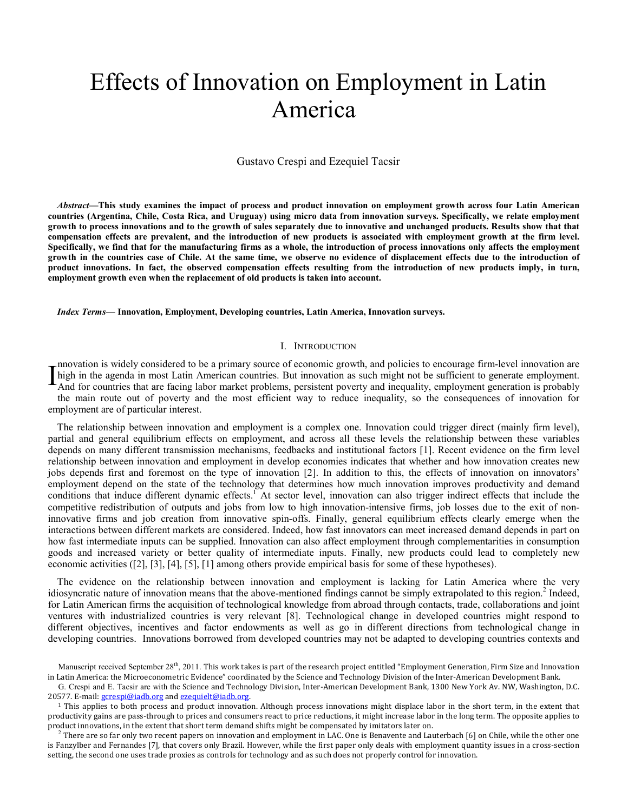# Effects of Innovation on Employment in Latin America

Gustavo Crespi and Ezequiel Tacsir

*Abstract***—This study examines the impact of process and product innovation on employment growth across four Latin American countries (Argentina, Chile, Costa Rica, and Uruguay) using micro data from innovation surveys. Specifically, we relate employment growth to process innovations and to the growth of sales separately due to innovative and unchanged products. Results show that that compensation effects are prevalent, and the introduction of new products is associated with employment growth at the firm level. Specifically, we find that for the manufacturing firms as a whole, the introduction of process innovations only affects the employment growth in the countries case of Chile. At the same time, we observe no evidence of displacement effects due to the introduction of product innovations. In fact, the observed compensation effects resulting from the introduction of new products imply, in turn, employment growth even when the replacement of old products is taken into account.** 

*Index Terms***— Innovation, Employment, Developing countries, Latin America, Innovation surveys.** 

### I. INTRODUCTION

nnovation is widely considered to be a primary source of economic growth, and policies to encourage firm-level innovation are Imovation is widely considered to be a primary source of economic growth, and policies to encourage firm-lever imovation are high in the agenda in most Latin American countries. But innovation as such might not be sufficie And for countries that are facing labor market problems, persistent poverty and inequality, employment generation is probably the main route out of poverty and the most efficient way to reduce inequality, so the consequences of innovation for employment are of particular interest.

The relationship between innovation and employment is a complex one. Innovation could trigger direct (mainly firm level), partial and general equilibrium effects on employment, and across all these levels the relationship between these variables depends on many different transmission mechanisms, feedbacks and institutional factors [1]. Recent evidence on the firm level relationship between innovation and employment in develop economies indicates that whether and how innovation creates new jobs depends first and foremost on the type of innovation [2]. In addition to this, the effects of innovation on innovators' employment depend on the state of the technology that determines how much innovation improves productivity and demand conditions that induce different dynamic effects.<sup>1</sup> At sector level, innovation can also trigger indirect effects that include the competitive redistribution of outputs and jobs from low to high innovation-intensive firms, job losses due to the exit of noninnovative firms and job creation from innovative spin-offs. Finally, general equilibrium effects clearly emerge when the interactions between different markets are considered. Indeed, how fast innovators can meet increased demand depends in part on how fast intermediate inputs can be supplied. Innovation can also affect employment through complementarities in consumption goods and increased variety or better quality of intermediate inputs. Finally, new products could lead to completely new economic activities ([2], [3], [4], [5], [1] among others provide empirical basis for some of these hypotheses).

The evidence on the relationship between innovation and employment is lacking for Latin America where the very idiosyncratic nature of innovation means that the above-mentioned findings cannot be simply extrapolated to this region.<sup>2</sup> Indeed, for Latin American firms the acquisition of technological knowledge from abroad through contacts, trade, collaborations and joint ventures with industrialized countries is very relevant [8]. Technological change in developed countries might respond to different objectives, incentives and factor endowments as well as go in different directions from technological change in developing countries. Innovations borrowed from developed countries may not be adapted to developing countries contexts and

Manuscript received September 28<sup>th</sup>, 2011. This work takes is part of the research project entitled "Employment Generation, Firm Size and Innovation in Latin America: the Microeconometric Evidence" coordinated by the Science and Technology Division of the Inter-American Development Bank.

G. Crespi and E. Tacsir are with the Science and Technology Division, Inter-American Development Bank, 1300 New York Av. NW, Washington, D.C. 20577. E-mail: gcrespi@iadb.org and ezequielt@iadb.org.

<sup>&</sup>lt;sup>1</sup> This applies to both process and product innovation. Although process innovations might displace labor in the short term, in the extent that productivity gains are pass-through to prices and consumers react to price reductions, it might increase labor in the long term. The opposite applies to product innovations, in the extent that short term demand shifts might be compensated by imitators later on.

 $2$  There are so far only two recent papers on innovation and employment in LAC. One is Benavente and Lauterbach [6] on Chile, while the other one is Fanzylber and Fernandes [7], that covers only Brazil. However, while the first paper only deals with employment quantity issues in a cross-section setting, the second one uses trade proxies as controls for technology and as such does not properly control for innovation.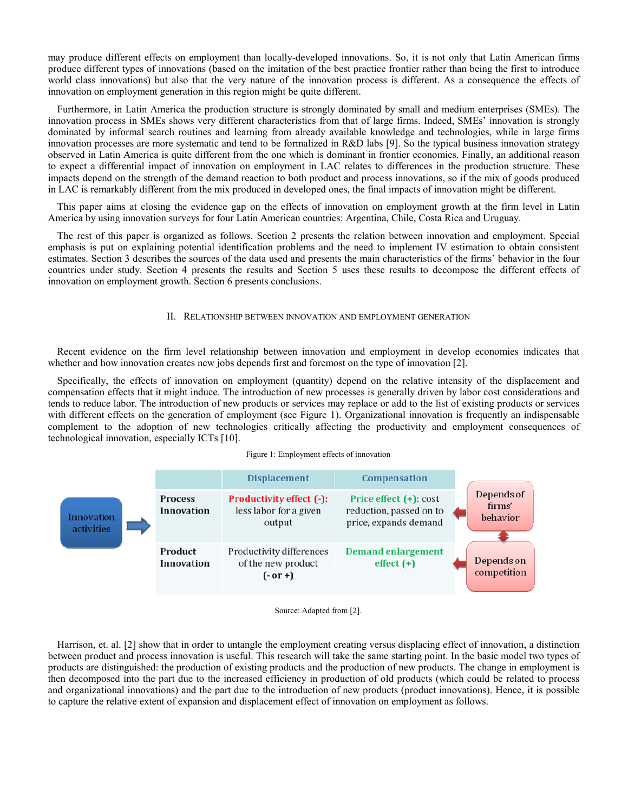may produce different effects on employment than locally-developed innovations. So, it is not only that Latin American firms produce different types of innovations (based on the imitation of the best practice frontier rather than being the first to introduce world class innovations) but also that the very nature of the innovation process is different. As a consequence the effects of innovation on employment generation in this region might be quite different.

Furthermore, in Latin America the production structure is strongly dominated by small and medium enterprises (SMEs). The innovation process in SMEs shows very different characteristics from that of large firms. Indeed, SMEs' innovation is strongly dominated by informal search routines and learning from already available knowledge and technologies, while in large firms innovation processes are more systematic and tend to be formalized in R&D labs [9]. So the typical business innovation strategy observed in Latin America is quite different from the one which is dominant in frontier economies. Finally, an additional reason to expect a differential impact of innovation on employment in LAC relates to differences in the production structure. These impacts depend on the strength of the demand reaction to both product and process innovations, so if the mix of goods produced in LAC is remarkably different from the mix produced in developed ones, the final impacts of innovation might be different.

This paper aims at closing the evidence gap on the effects of innovation on employment growth at the firm level in Latin America by using innovation surveys for four Latin American countries: Argentina, Chile, Costa Rica and Uruguay.

The rest of this paper is organized as follows. Section 2 presents the relation between innovation and employment. Special emphasis is put on explaining potential identification problems and the need to implement IV estimation to obtain consistent estimates. Section 3 describes the sources of the data used and presents the main characteristics of the firms' behavior in the four countries under study. Section 4 presents the results and Section 5 uses these results to decompose the different effects of innovation on employment growth. Section 6 presents conclusions.

## II. RELATIONSHIP BETWEEN INNOVATION AND EMPLOYMENT GENERATION

Recent evidence on the firm level relationship between innovation and employment in develop economies indicates that whether and how innovation creates new jobs depends first and foremost on the type of innovation [2].

Specifically, the effects of innovation on employment (quantity) depend on the relative intensity of the displacement and compensation effects that it might induce. The introduction of new processes is generally driven by labor cost considerations and tends to reduce labor. The introduction of new products or services may replace or add to the list of existing products or services with different effects on the generation of employment (see Figure 1). Organizational innovation is frequently an indispensable complement to the adoption of new technologies critically affecting the productivity and employment consequences of technological innovation, especially ICTs [10].

#### Figure 1: Employment effects of innovation



Source: Adapted from [2].

Harrison, et. al. [2] show that in order to untangle the employment creating versus displacing effect of innovation, a distinction between product and process innovation is useful. This research will take the same starting point. In the basic model two types of products are distinguished: the production of existing products and the production of new products. The change in employment is then decomposed into the part due to the increased efficiency in production of old products (which could be related to process and organizational innovations) and the part due to the introduction of new products (product innovations). Hence, it is possible to capture the relative extent of expansion and displacement effect of innovation on employment as follows.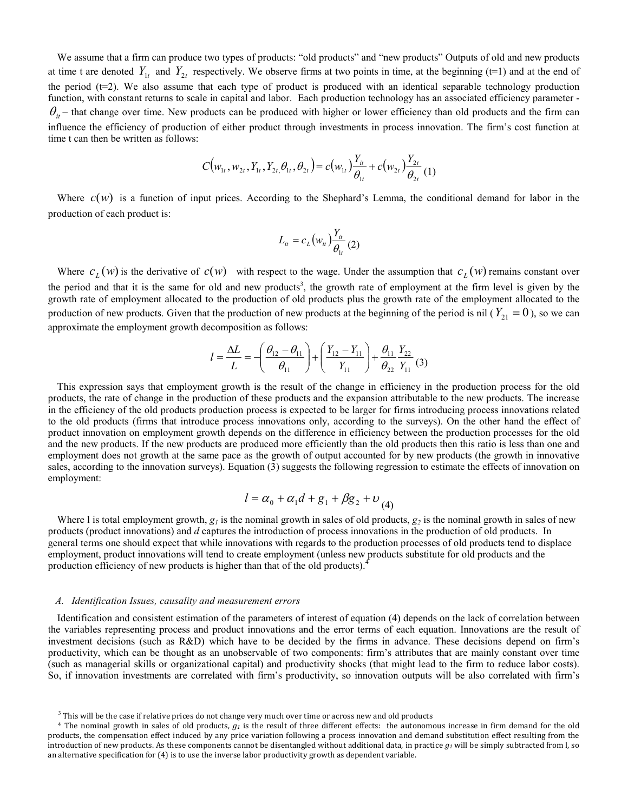We assume that a firm can produce two types of products: "old products" and "new products" Outputs of old and new products at time t are denoted  $Y_{1t}$  and  $Y_{2t}$  respectively. We observe firms at two points in time, at the beginning (t=1) and at the end of the period  $(t=2)$ . We also assume that each type of product is produced with an identical separable technology production function, with constant returns to scale in capital and labor. Each production technology has an associated efficiency parameter -  $\theta_{it}$  – that change over time. New products can be produced with higher or lower efficiency than old products and the firm can influence the efficiency of production of either product through investments in process innovation. The firm's cost function at time t can then be written as follows:

$$
C(w_{1t}, w_{2t}, Y_{1t}, Y_{2t}, \theta_{1t}, \theta_{2t}) = c(w_{1t}) \frac{Y_{it}}{\theta_{1t}} + c(w_{2t}) \frac{Y_{2t}}{\theta_{2t}} (1)
$$

Where  $c(w)$  is a function of input prices. According to the Shephard's Lemma, the conditional demand for labor in the production of each product is:

$$
L_{it} = c_L(w_{it}) \frac{Y_{it}}{\theta_{1t}}(2)
$$

Where  $c_L(w)$  is the derivative of  $c(w)$  with respect to the wage. Under the assumption that  $c_L(w)$  remains constant over the period and that it is the same for old and new products<sup>3</sup>, the growth rate of employment at the firm level is given by the growth rate of employment allocated to the production of old products plus the growth rate of the employment allocated to the production of new products. Given that the production of new products at the beginning of the period is nil ( $Y_{21} = 0$ ), so we can approximate the employment growth decomposition as follows:

$$
l = \frac{\Delta L}{L} = -\left(\frac{\theta_{12} - \theta_{11}}{\theta_{11}}\right) + \left(\frac{Y_{12} - Y_{11}}{Y_{11}}\right) + \frac{\theta_{11}}{\theta_{22}} \frac{Y_{22}}{Y_{11}}(3)
$$

This expression says that employment growth is the result of the change in efficiency in the production process for the old products, the rate of change in the production of these products and the expansion attributable to the new products. The increase in the efficiency of the old products production process is expected to be larger for firms introducing process innovations related to the old products (firms that introduce process innovations only, according to the surveys). On the other hand the effect of product innovation on employment growth depends on the difference in efficiency between the production processes for the old and the new products. If the new products are produced more efficiently than the old products then this ratio is less than one and employment does not growth at the same pace as the growth of output accounted for by new products (the growth in innovative sales, according to the innovation surveys). Equation (3) suggests the following regression to estimate the effects of innovation on employment:

$$
l = \alpha_0 + \alpha_1 d + g_1 + \beta g_2 + v_{(4)}
$$

Where l is total employment growth,  $g_l$  is the nominal growth in sales of old products,  $g_2$  is the nominal growth in sales of new products (product innovations) and *d* captures the introduction of process innovations in the production of old products. In general terms one should expect that while innovations with regards to the production processes of old products tend to displace employment, product innovations will tend to create employment (unless new products substitute for old products and the production efficiency of new products is higher than that of the old products).<sup>4</sup>

## *A. Identification Issues, causality and measurement errors*

Identification and consistent estimation of the parameters of interest of equation (4) depends on the lack of correlation between the variables representing process and product innovations and the error terms of each equation. Innovations are the result of investment decisions (such as R&D) which have to be decided by the firms in advance. These decisions depend on firm's productivity, which can be thought as an unobservable of two components: firm's attributes that are mainly constant over time (such as managerial skills or organizational capital) and productivity shocks (that might lead to the firm to reduce labor costs). So, if innovation investments are correlated with firm's productivity, so innovation outputs will be also correlated with firm's

 $3$  This will be the case if relative prices do not change very much over time or across new and old products

<sup>4</sup> The nominal growth in sales of old products, *g1* is the result of three different effects: the autonomous increase in firm demand for the old products, the compensation effect induced by any price variation following a process innovation and demand substitution effect resulting from the introduction of new products. As these components cannot be disentangled without additional data, in practice *g1* will be simply subtracted from l, so an alternative specification for (4) is to use the inverse labor productivity growth as dependent variable.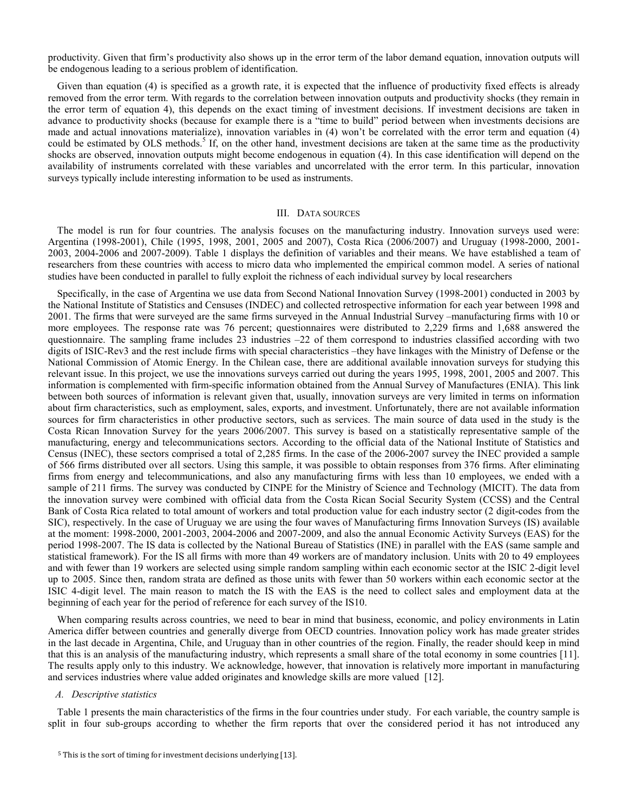productivity. Given that firm's productivity also shows up in the error term of the labor demand equation, innovation outputs will be endogenous leading to a serious problem of identification.

Given than equation (4) is specified as a growth rate, it is expected that the influence of productivity fixed effects is already removed from the error term. With regards to the correlation between innovation outputs and productivity shocks (they remain in the error term of equation 4), this depends on the exact timing of investment decisions. If investment decisions are taken in advance to productivity shocks (because for example there is a "time to build" period between when investments decisions are made and actual innovations materialize), innovation variables in (4) won't be correlated with the error term and equation (4) could be estimated by OLS methods.<sup>5</sup> If, on the other hand, investment decisions are taken at the same time as the productivity shocks are observed, innovation outputs might become endogenous in equation (4). In this case identification will depend on the availability of instruments correlated with these variables and uncorrelated with the error term. In this particular, innovation surveys typically include interesting information to be used as instruments.

#### III. DATA SOURCES

The model is run for four countries. The analysis focuses on the manufacturing industry. Innovation surveys used were: Argentina (1998-2001), Chile (1995, 1998, 2001, 2005 and 2007), Costa Rica (2006/2007) and Uruguay (1998-2000, 2001- 2003, 2004-2006 and 2007-2009). Table 1 displays the definition of variables and their means. We have established a team of researchers from these countries with access to micro data who implemented the empirical common model. A series of national studies have been conducted in parallel to fully exploit the richness of each individual survey by local researchers

Specifically, in the case of Argentina we use data from Second National Innovation Survey (1998-2001) conducted in 2003 by the National Institute of Statistics and Censuses (INDEC) and collected retrospective information for each year between 1998 and 2001. The firms that were surveyed are the same firms surveyed in the Annual Industrial Survey –manufacturing firms with 10 or more employees. The response rate was 76 percent; questionnaires were distributed to 2,229 firms and 1,688 answered the questionnaire. The sampling frame includes  $23$  industries  $-22$  of them correspond to industries classified according with two digits of ISIC-Rev3 and the rest include firms with special characteristics –they have linkages with the Ministry of Defense or the National Commission of Atomic Energy. In the Chilean case, there are additional available innovation surveys for studying this relevant issue. In this project, we use the innovations surveys carried out during the years 1995, 1998, 2001, 2005 and 2007. This information is complemented with firm-specific information obtained from the Annual Survey of Manufactures (ENIA). This link between both sources of information is relevant given that, usually, innovation surveys are very limited in terms on information about firm characteristics, such as employment, sales, exports, and investment. Unfortunately, there are not available information sources for firm characteristics in other productive sectors, such as services. The main source of data used in the study is the Costa Rican Innovation Survey for the years 2006/2007. This survey is based on a statistically representative sample of the manufacturing, energy and telecommunications sectors. According to the official data of the National Institute of Statistics and Census (INEC), these sectors comprised a total of 2,285 firms. In the case of the 2006-2007 survey the INEC provided a sample of 566 firms distributed over all sectors. Using this sample, it was possible to obtain responses from 376 firms. After eliminating firms from energy and telecommunications, and also any manufacturing firms with less than 10 employees, we ended with a sample of 211 firms. The survey was conducted by CINPE for the Ministry of Science and Technology (MICIT). The data from the innovation survey were combined with official data from the Costa Rican Social Security System (CCSS) and the Central Bank of Costa Rica related to total amount of workers and total production value for each industry sector (2 digit-codes from the SIC), respectively. In the case of Uruguay we are using the four waves of Manufacturing firms Innovation Surveys (IS) available at the moment: 1998-2000, 2001-2003, 2004-2006 and 2007-2009, and also the annual Economic Activity Surveys (EAS) for the period 1998-2007. The IS data is collected by the National Bureau of Statistics (INE) in parallel with the EAS (same sample and statistical framework). For the IS all firms with more than 49 workers are of mandatory inclusion. Units with 20 to 49 employees and with fewer than 19 workers are selected using simple random sampling within each economic sector at the ISIC 2-digit level up to 2005. Since then, random strata are defined as those units with fewer than 50 workers within each economic sector at the ISIC 4-digit level. The main reason to match the IS with the EAS is the need to collect sales and employment data at the beginning of each year for the period of reference for each survey of the IS10.

When comparing results across countries, we need to bear in mind that business, economic, and policy environments in Latin America differ between countries and generally diverge from OECD countries. Innovation policy work has made greater strides in the last decade in Argentina, Chile, and Uruguay than in other countries of the region. Finally, the reader should keep in mind that this is an analysis of the manufacturing industry, which represents a small share of the total economy in some countries [11]. The results apply only to this industry. We acknowledge, however, that innovation is relatively more important in manufacturing and services industries where value added originates and knowledge skills are more valued [12].

## *A. Descriptive statistics*

Table 1 presents the main characteristics of the firms in the four countries under study. For each variable, the country sample is split in four sub-groups according to whether the firm reports that over the considered period it has not introduced any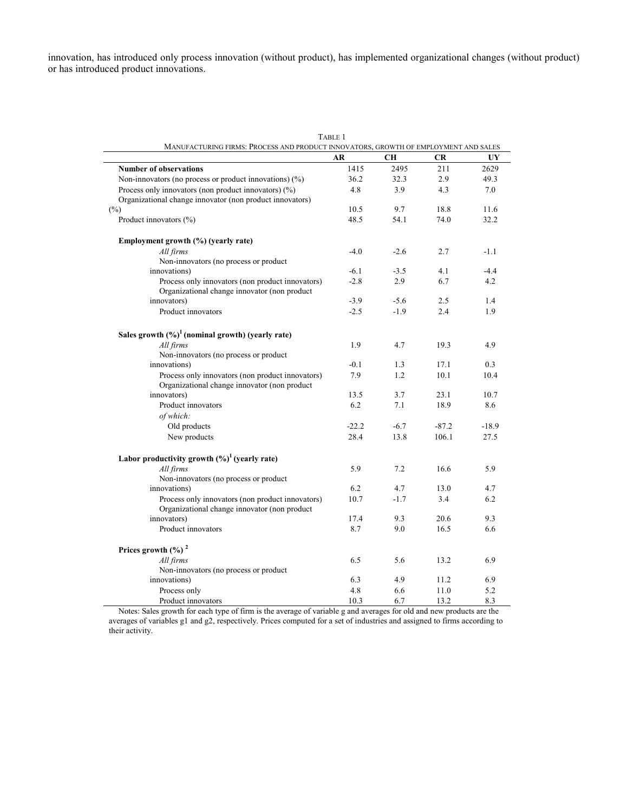innovation, has introduced only process innovation (without product), has implemented organizational changes (without product) or has introduced product innovations.

| MANUFACTURING FIRMS: PROCESS AND PRODUCT INNOVATORS, GROWTH OF EMPLOYMENT AND SALES | TABLE 1 |           |           |         |
|-------------------------------------------------------------------------------------|---------|-----------|-----------|---------|
|                                                                                     | AR      | <b>CH</b> | <b>CR</b> | UY      |
| <b>Number of observations</b>                                                       | 1415    | 2495      | 211       | 2629    |
| Non-innovators (no process or product innovations) $(\%)$                           | 36.2    | 32.3      | 2.9       | 49.3    |
| Process only innovators (non product innovators) $(\%)$                             | 4.8     | 3.9       | 4.3       | 7.0     |
| Organizational change innovator (non product innovators)                            |         |           |           |         |
| $(\%)$                                                                              | 10.5    | 9.7       | 18.8      | 11.6    |
| Product innovators (%)                                                              | 48.5    | 54.1      | 74.0      | 32.2    |
| Employment growth (%) (yearly rate)                                                 |         |           |           |         |
| All firms                                                                           | $-4.0$  | $-2.6$    | 2.7       | $-1.1$  |
| Non-innovators (no process or product                                               |         |           |           |         |
| innovations)                                                                        | $-6.1$  | $-3.5$    | 4.1       | $-4.4$  |
| Process only innovators (non product innovators)                                    | $-2.8$  | 2.9       | 6.7       | 4.2     |
| Organizational change innovator (non product                                        |         |           |           |         |
| innovators)                                                                         | $-3.9$  | $-5.6$    | 2.5       | 1.4     |
| Product innovators                                                                  | $-2.5$  | $-1.9$    | 2.4       | 1.9     |
|                                                                                     |         |           |           |         |
| Sales growth $(\frac{6}{9})^1$ (nominal growth) (yearly rate)                       |         |           |           |         |
| All firms                                                                           | 1.9     | 4.7       | 19.3      | 4.9     |
| Non-innovators (no process or product                                               |         |           |           |         |
| innovations)                                                                        | $-0.1$  | 1.3       | 17.1      | 0.3     |
| Process only innovators (non product innovators)                                    | 7.9     | 1.2       | 10.1      | 10.4    |
| Organizational change innovator (non product                                        |         |           |           |         |
| innovators)                                                                         | 13.5    | 3.7       | 23.1      | 10.7    |
| Product innovators                                                                  | 6.2     | 7.1       | 18.9      | 8.6     |
| of which:                                                                           |         |           |           |         |
| Old products                                                                        | $-22.2$ | $-6.7$    | $-87.2$   | $-18.9$ |
| New products                                                                        | 28.4    | 13.8      | 106.1     | 27.5    |
| Labor productivity growth $(\%)^1$ (yearly rate)                                    |         |           |           |         |
| All firms                                                                           | 5.9     | 7.2       | 16.6      | 5.9     |
| Non-innovators (no process or product)                                              |         |           |           |         |
| innovations)                                                                        | 6.2     | 4.7       | 13.0      | 4.7     |
| Process only innovators (non product innovators)                                    | 10.7    | $-1.7$    | 3.4       | 6.2     |
| Organizational change innovator (non product                                        |         |           |           |         |
| innovators)                                                                         | 17.4    | 9.3       | 20.6      | 9.3     |
| Product innovators                                                                  | 8.7     | 9.0       | 16.5      | 6.6     |
| Prices growth $(\%)$ <sup>2</sup>                                                   |         |           |           |         |
| All firms                                                                           | 6.5     | 5.6       | 13.2      | 6.9     |
| Non-innovators (no process or product                                               |         |           |           |         |
| innovations)                                                                        | 6.3     | 4.9       | 11.2      | 6.9     |
| Process only                                                                        | 4.8     | 6.6       | 11.0      | 5.2     |
| Product innovators                                                                  | 10.3    | 6.7       | 13.2      | 8.3     |

Notes: Sales growth for each type of firm is the average of variable g and averages for old and new products are the averages of variables g1 and g2, respectively. Prices computed for a set of industries and assigned to firms according to their activity.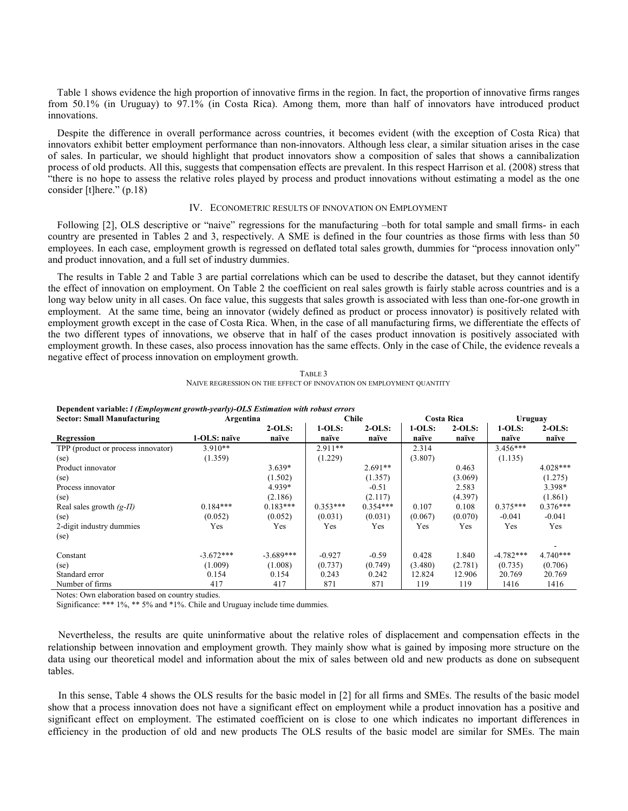Table 1 shows evidence the high proportion of innovative firms in the region. In fact, the proportion of innovative firms ranges from 50.1% (in Uruguay) to 97.1% (in Costa Rica). Among them, more than half of innovators have introduced product innovations.

Despite the difference in overall performance across countries, it becomes evident (with the exception of Costa Rica) that innovators exhibit better employment performance than non-innovators. Although less clear, a similar situation arises in the case of sales. In particular, we should highlight that product innovators show a composition of sales that shows a cannibalization process of old products. All this, suggests that compensation effects are prevalent. In this respect Harrison et al. (2008) stress that "there is no hope to assess the relative roles played by process and product innovations without estimating a model as the one consider [t]here." (p.18)

#### IV. ECONOMETRIC RESULTS OF INNOVATION ON EMPLOYMENT

Following [2], OLS descriptive or "naive" regressions for the manufacturing –both for total sample and small firms- in each country are presented in Tables 2 and 3, respectively. A SME is defined in the four countries as those firms with less than 50 employees. In each case, employment growth is regressed on deflated total sales growth, dummies for "process innovation only" and product innovation, and a full set of industry dummies.

The results in Table 2 and Table 3 are partial correlations which can be used to describe the dataset, but they cannot identify the effect of innovation on employment. On Table 2 the coefficient on real sales growth is fairly stable across countries and is a long way below unity in all cases. On face value, this suggests that sales growth is associated with less than one-for-one growth in employment. At the same time, being an innovator (widely defined as product or process innovator) is positively related with employment growth except in the case of Costa Rica. When, in the case of all manufacturing firms, we differentiate the effects of the two different types of innovations, we observe that in half of the cases product innovation is positively associated with employment growth. In these cases, also process innovation has the same effects. Only in the case of Chile, the evidence reveals a negative effect of process innovation on employment growth.

| Dependent variable: <i>l (Employment growth-yearly)-OLS Estimation with robust errors</i> |              |             |            |            |            |          |             |            |  |
|-------------------------------------------------------------------------------------------|--------------|-------------|------------|------------|------------|----------|-------------|------------|--|
| <b>Sector: Small Manufacturing</b>                                                        | Argentina    |             | Chile      |            | Costa Rica |          | Uruguay     |            |  |
|                                                                                           |              | $2-OLS:$    | $1-OLS:$   | $2-OLS:$   | $1-OLS:$   | $2-OLS:$ | $1-OLS:$    | $2-OLS:$   |  |
| Regression                                                                                | 1-OLS: naïve | naïve       | naïve      | naïve      | naïve      | naïve    | naïve       | naïve      |  |
| TPP (product or process innovator)                                                        | $3.910**$    |             | $2.911**$  |            | 2.314      |          | $3.456***$  |            |  |
| (se)                                                                                      | (1.359)      |             | (1.229)    |            | (3.807)    |          | (1.135)     |            |  |
| Product innovator                                                                         |              | $3.639*$    |            | $2.691**$  |            | 0.463    |             | $4.028***$ |  |
| (se)                                                                                      |              | (1.502)     |            | (1.357)    |            | (3.069)  |             | (1.275)    |  |
| Process innovator                                                                         |              | 4.939*      |            | $-0.51$    |            | 2.583    |             | $3.398*$   |  |
| (se)                                                                                      |              | (2.186)     |            | (2.117)    |            | (4.397)  |             | (1.861)    |  |
| Real sales growth $(g-TI)$                                                                | $0.184***$   | $0.183***$  | $0.353***$ | $0.354***$ | 0.107      | 0.108    | $0.375***$  | $0.376***$ |  |
| (se)                                                                                      | (0.052)      | (0.052)     | (0.031)    | (0.031)    | (0.067)    | (0.070)  | $-0.041$    | $-0.041$   |  |
| 2-digit industry dummies                                                                  | Yes          | Yes         | Yes        | Yes        | Yes        | Yes      | Yes         | Yes        |  |
| (se)                                                                                      |              |             |            |            |            |          |             |            |  |
| Constant                                                                                  | $-3.672***$  | $-3.689***$ | $-0.927$   | $-0.59$    | 0.428      | 1.840    | $-4.782***$ | $4.740***$ |  |
| (se)                                                                                      | (1.009)      | (1.008)     | (0.737)    | (0.749)    | (3.480)    | (2.781)  | (0.735)     | (0.706)    |  |
| Standard error                                                                            | 0.154        | 0.154       | 0.243      | 0.242      | 12.824     | 12.906   | 20.769      | 20.769     |  |
| Number of firms                                                                           | 417          | 417         | 871        | 871        | 119        | 119      | 1416        | 1416       |  |

TABLE 3 NAIVE REGRESSION ON THE EFFECT OF INNOVATION ON EMPLOYMENT QUANTITY

Notes: Own elaboration based on country studies.

Significance: \*\*\* 1%, \*\* 5% and \*1%. Chile and Uruguay include time dummies.

 Nevertheless, the results are quite uninformative about the relative roles of displacement and compensation effects in the relationship between innovation and employment growth. They mainly show what is gained by imposing more structure on the data using our theoretical model and information about the mix of sales between old and new products as done on subsequent tables.

 In this sense, Table 4 shows the OLS results for the basic model in [2] for all firms and SMEs. The results of the basic model show that a process innovation does not have a significant effect on employment while a product innovation has a positive and significant effect on employment. The estimated coefficient on is close to one which indicates no important differences in efficiency in the production of old and new products The OLS results of the basic model are similar for SMEs. The main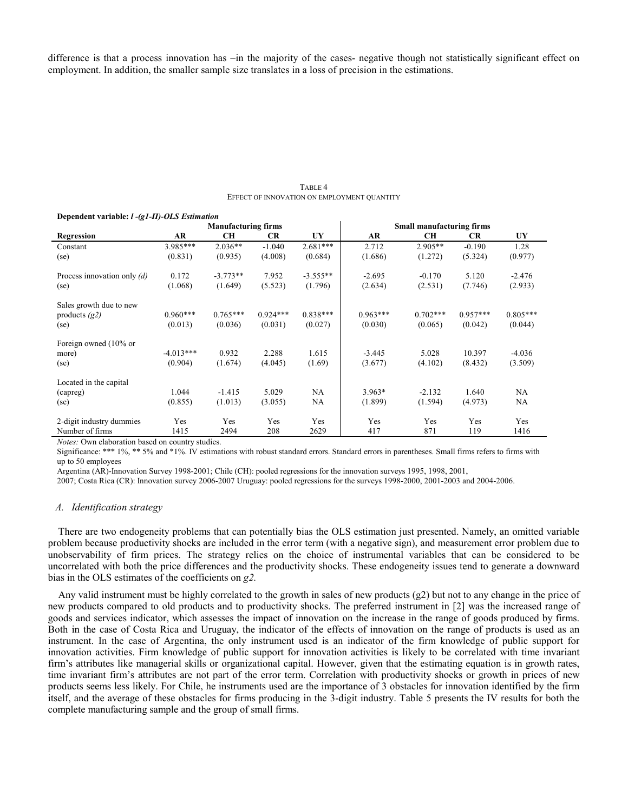difference is that a process innovation has  $\overline{-}$ in the majority of the cases- negative though not statistically significant effect on employment. In addition, the smaller sample size translates in a loss of precision in the estimations.

| TABLE 4                                     |
|---------------------------------------------|
| EFFECT OF INNOVATION ON EMPLOYMENT QUANTITY |

|                               | <b>Manufacturing firms</b> |            |            |            | <b>Small manufacturing firms</b> |            |            |            |  |
|-------------------------------|----------------------------|------------|------------|------------|----------------------------------|------------|------------|------------|--|
| Regression                    | AR                         | <b>CH</b>  | CR.        | UY         | AR                               | <b>CH</b>  | <b>CR</b>  | UY         |  |
| Constant                      | 3.985***                   | $2.036**$  | $-1.040$   | $2.681***$ | 2.712                            | $2.905**$  | $-0.190$   | 1.28       |  |
| (se)                          | (0.831)                    | (0.935)    | (4.008)    | (0.684)    | (1.686)                          | (1.272)    | (5.324)    | (0.977)    |  |
| Process innovation only $(d)$ | 0.172                      | $-3.773**$ | 7.952      | $-3.555**$ | $-2.695$                         | $-0.170$   | 5.120      | $-2.476$   |  |
| (se)                          | (1.068)                    | (1.649)    | (5.523)    | (1.796)    | (2.634)                          | (2.531)    | (7.746)    | (2.933)    |  |
| Sales growth due to new       |                            |            |            |            |                                  |            |            |            |  |
| products $(g2)$               | $0.960***$                 | $0.765***$ | $0.924***$ | $0.838***$ | $0.963***$                       | $0.702***$ | $0.957***$ | $0.805***$ |  |
| (se)                          | (0.013)                    | (0.036)    | (0.031)    | (0.027)    | (0.030)                          | (0.065)    | (0.042)    | (0.044)    |  |
| Foreign owned (10% or         |                            |            |            |            |                                  |            |            |            |  |
| more)                         | $-4.013***$                | 0.932      | 2.288      | 1.615      | $-3.445$                         | 5.028      | 10.397     | $-4.036$   |  |
| (se)                          | (0.904)                    | (1.674)    | (4.045)    | (1.69)     | (3.677)                          | (4.102)    | (8.432)    | (3.509)    |  |
| Located in the capital        |                            |            |            |            |                                  |            |            |            |  |
| (capreg)                      | 1.044                      | $-1.415$   | 5.029      | <b>NA</b>  | $3.963*$                         | $-2.132$   | 1.640      | NA         |  |
| (se)                          | (0.855)                    | (1.013)    | (3.055)    | NA         | (1.899)                          | (1.594)    | (4.973)    | NA         |  |
| 2-digit industry dummies      | Yes                        | Yes        | Yes        | Yes        | Yes                              | Yes        | Yes        | Yes        |  |
| Number of firms               | 1415                       | 2494       | 208        | 2629       | 417                              | 871        | 119        | 1416       |  |

#### **Dependent variable:** *l -(g1-Π)-OLS Estimation*

*Notes:* Own elaboration based on country studies.

Significance: \*\*\* 1%, \*\* 5% and \*1%. IV estimations with robust standard errors. Standard errors in parentheses. Small firms refers to firms with up to 50 employees

Argentina (AR)-Innovation Survey 1998-2001; Chile (CH): pooled regressions for the innovation surveys 1995, 1998, 2001,

2007; Costa Rica (CR): Innovation survey 2006-2007 Uruguay: pooled regressions for the surveys 1998-2000, 2001-2003 and 2004-2006.

#### *A. Identification strategy*

 There are two endogeneity problems that can potentially bias the OLS estimation just presented. Namely, an omitted variable problem because productivity shocks are included in the error term (with a negative sign), and measurement error problem due to unobservability of firm prices. The strategy relies on the choice of instrumental variables that can be considered to be uncorrelated with both the price differences and the productivity shocks. These endogeneity issues tend to generate a downward bias in the OLS estimates of the coefficients on *g2.*

 Any valid instrument must be highly correlated to the growth in sales of new products (g2) but not to any change in the price of new products compared to old products and to productivity shocks. The preferred instrument in [2] was the increased range of goods and services indicator, which assesses the impact of innovation on the increase in the range of goods produced by firms. Both in the case of Costa Rica and Uruguay, the indicator of the effects of innovation on the range of products is used as an instrument. In the case of Argentina, the only instrument used is an indicator of the firm knowledge of public support for innovation activities. Firm knowledge of public support for innovation activities is likely to be correlated with time invariant firm's attributes like managerial skills or organizational capital. However, given that the estimating equation is in growth rates, time invariant firm's attributes are not part of the error term. Correlation with productivity shocks or growth in prices of new products seems less likely. For Chile, he instruments used are the importance of 3 obstacles for innovation identified by the firm itself, and the average of these obstacles for firms producing in the 3-digit industry. Table 5 presents the IV results for both the complete manufacturing sample and the group of small firms.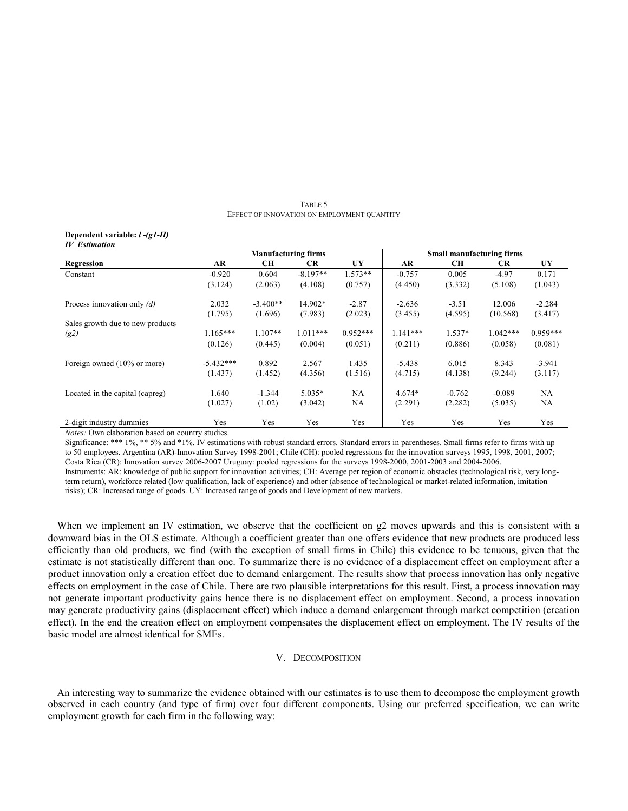TABLE 5 EFFECT OF INNOVATION ON EMPLOYMENT QUANTITY

#### **Dependent variable:** *l -(g1-Π) IV Estimation*

|                                  | <b>Manufacturing firms</b> |            |            |            | <b>Small manufacturing firms</b> |           |            |            |  |
|----------------------------------|----------------------------|------------|------------|------------|----------------------------------|-----------|------------|------------|--|
| Regression                       | <b>AR</b>                  | CН         | <b>CR</b>  | UY         | <b>AR</b>                        | <b>CH</b> | <b>CR</b>  | UY         |  |
| Constant                         | $-0.920$                   | 0.604      | $-8.197**$ | $1.573**$  | $-0.757$                         | 0.005     | $-4.97$    | 0.171      |  |
|                                  | (3.124)                    | (2.063)    | (4.108)    | (0.757)    | (4.450)                          | (3.332)   | (5.108)    | (1.043)    |  |
| Process innovation only $(d)$    | 2.032                      | $-3.400**$ | 14.902*    | $-2.87$    | $-2.636$                         | $-3.51$   | 12.006     | $-2.284$   |  |
|                                  | (1.795)                    | (1.696)    | (7.983)    | (2.023)    | (3.455)                          | (4.595)   | (10.568)   | (3.417)    |  |
| Sales growth due to new products |                            |            |            |            |                                  |           |            |            |  |
| (g2)                             | $1.165***$                 | $1.107**$  | $1.011***$ | $0.952***$ | $1.141***$                       | $1.537*$  | $1.042***$ | $0.959***$ |  |
|                                  | (0.126)                    | (0.445)    | (0.004)    | (0.051)    | (0.211)                          | (0.886)   | (0.058)    | (0.081)    |  |
| Foreign owned (10% or more)      | $-5.432***$                | 0.892      | 2.567      | 1.435      | $-5.438$                         | 6.015     | 8.343      | $-3.941$   |  |
|                                  | (1.437)                    | (1.452)    | (4.356)    | (1.516)    | (4.715)                          | (4.138)   | (9.244)    | (3.117)    |  |
| Located in the capital (capreg)  | 1.640                      | $-1.344$   | $5.035*$   | NA         | $4.674*$                         | $-0.762$  | $-0.089$   | NA         |  |
|                                  | (1.027)                    | (1.02)     | (3.042)    | NA         | (2.291)                          | (2.282)   | (5.035)    | NA         |  |
| 2-digit industry dummies         | Yes                        | Yes        | Yes        | <b>Yes</b> | Yes                              | Yes       | Yes        | Yes        |  |

*Notes:* Own elaboration based on country studies.

Significance: \*\*\* 1%, \*\* 5% and \*1%. IV estimations with robust standard errors. Standard errors in parentheses. Small firms refer to firms with up to 50 employees. Argentina (AR)-Innovation Survey 1998-2001; Chile (CH): pooled regressions for the innovation surveys 1995, 1998, 2001, 2007; Costa Rica (CR): Innovation survey 2006-2007 Uruguay: pooled regressions for the surveys 1998-2000, 2001-2003 and 2004-2006.

Instruments: AR: knowledge of public support for innovation activities; CH: Average per region of economic obstacles (technological risk, very longterm return), workforce related (low qualification, lack of experience) and other (absence of technological or market-related information, imitation risks); CR: Increased range of goods. UY: Increased range of goods and Development of new markets.

When we implement an IV estimation, we observe that the coefficient on g2 moves upwards and this is consistent with a downward bias in the OLS estimate. Although a coefficient greater than one offers evidence that new products are produced less efficiently than old products, we find (with the exception of small firms in Chile) this evidence to be tenuous, given that the estimate is not statistically different than one. To summarize there is no evidence of a displacement effect on employment after a product innovation only a creation effect due to demand enlargement. The results show that process innovation has only negative effects on employment in the case of Chile. There are two plausible interpretations for this result. First, a process innovation may not generate important productivity gains hence there is no displacement effect on employment. Second, a process innovation may generate productivity gains (displacement effect) which induce a demand enlargement through market competition (creation effect). In the end the creation effect on employment compensates the displacement effect on employment. The IV results of the basic model are almost identical for SMEs.

# V. DECOMPOSITION

An interesting way to summarize the evidence obtained with our estimates is to use them to decompose the employment growth observed in each country (and type of firm) over four different components. Using our preferred specification, we can write employment growth for each firm in the following way: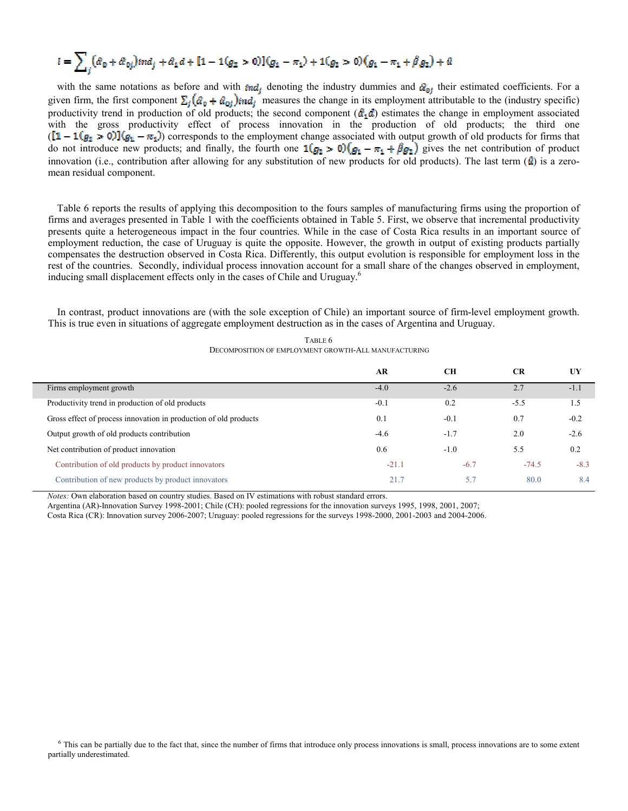$$
l = \sum_{j} (\hat{a}_0 + \hat{a}_{0j}) ind_j + \hat{a}_1 d + [1 - 1(g_2 > 0)](g_1 - \pi_1) + 1(g_2 > 0)(g_1 - \pi_1 + \hat{\beta} g_2) + \hat{a}
$$

with the same notations as before and with  $ind_i$  denoting the industry dummies and  $\mathcal{C}_{0i}$  their estimated coefficients. For a given firm, the first component  $\Sigma_i(\hat{\alpha}_0 + \hat{\alpha}_{0i})$  ind<sub>i</sub> measures the change in its employment attributable to the (industry specific) productivity trend in production of old products; the second component  $(\hat{a}_1 d)$  estimates the change in employment associated with the gross productivity effect of process innovation in the production of old products; the third one  $([1 - 1(g_2 > 0)](g_1 - \pi_1)$  corresponds to the employment change associated with output growth of old products for firms that do not introduce new products; and finally, the fourth one  $\mathbf{1}(g_2 > 0)(g_1 - \pi_1 + \beta g_2)$  gives the net contribution of product innovation (i.e., contribution after allowing for any substitution of new products for old products). The last term  $(\hat{u})$  is a zeromean residual component.

Table 6 reports the results of applying this decomposition to the fours samples of manufacturing firms using the proportion of firms and averages presented in Table 1 with the coefficients obtained in Table 5. First, we observe that incremental productivity presents quite a heterogeneous impact in the four countries. While in the case of Costa Rica results in an important source of employment reduction, the case of Uruguay is quite the opposite. However, the growth in output of existing products partially compensates the destruction observed in Costa Rica. Differently, this output evolution is responsible for employment loss in the rest of the countries. Secondly, individual process innovation account for a small share of the changes observed in employment, inducing small displacement effects only in the cases of Chile and Uruguay.<sup>6</sup>

In contrast, product innovations are (with the sole exception of Chile) an important source of firm-level employment growth. This is true even in situations of aggregate employment destruction as in the cases of Argentina and Uruguay.

|                                                                  | AR      | CН     | CR      | UY     |
|------------------------------------------------------------------|---------|--------|---------|--------|
| Firms employment growth                                          | $-4.0$  | $-2.6$ |         | $-1.1$ |
| Productivity trend in production of old products                 | $-0.1$  | 0.2    | $-5.5$  | 1.5    |
| Gross effect of process innovation in production of old products | 0.1     | $-0.1$ | 0.7     | $-0.2$ |
| Output growth of old products contribution                       | $-4.6$  | $-1.7$ | 2.0     | $-2.6$ |
| Net contribution of product innovation                           | 0.6     | $-1.0$ | 5.5     | 0.2    |
| Contribution of old products by product innovators               | $-21.1$ | $-6.7$ | $-74.5$ | $-8.3$ |
| Contribution of new products by product innovators               | 21.7    | 5.7    | 80.0    | 8.4    |

TABLE 6 DECOMPOSITION OF EMPLOYMENT GROWTH-ALL MANUFACTURING

*%otes:* Own elaboration based on country studies. Based on IV estimations with robust standard errors.

Argentina (AR)-Innovation Survey 1998-2001; Chile (CH): pooled regressions for the innovation surveys 1995, 1998, 2001, 2007;

Costa Rica (CR): Innovation survey 2006-2007; Uruguay: pooled regressions for the surveys 1998-2000, 2001-2003 and 2004-2006.

<sup>6</sup> This can be partially due to the fact that, since the number of firms that introduce only process innovations is small, process innovations are to some extent partially underestimated.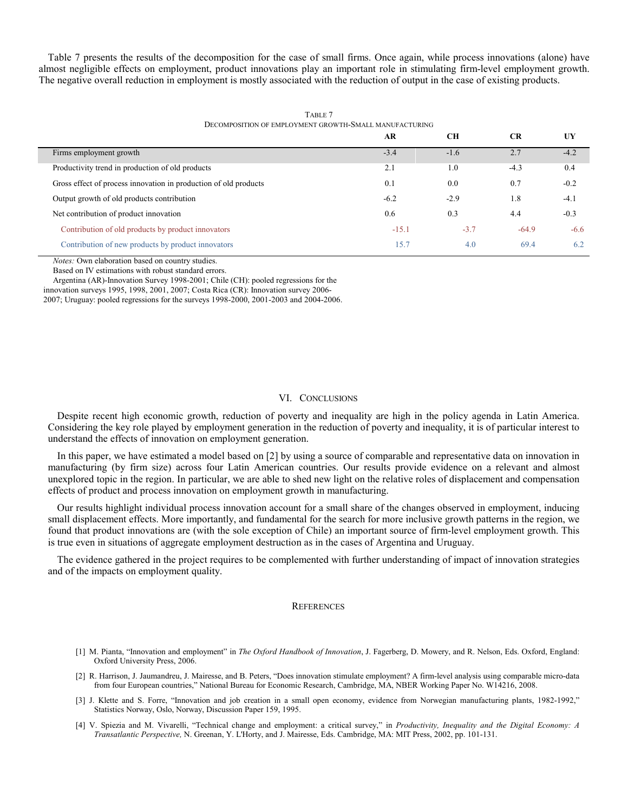Table 7 presents the results of the decomposition for the case of small firms. Once again, while process innovations (alone) have almost negligible effects on employment, product innovations play an important role in stimulating firm-level employment growth. The negative overall reduction in employment is mostly associated with the reduction of output in the case of existing products.

|                                                                  | AR      | CН     | <b>CR</b> | UY     |  |  |
|------------------------------------------------------------------|---------|--------|-----------|--------|--|--|
| Firms employment growth                                          | $-3.4$  | $-1.6$ | 2.7       | $-4.2$ |  |  |
| Productivity trend in production of old products                 | 2.1     | 1.0    | $-4.3$    | 0.4    |  |  |
| Gross effect of process innovation in production of old products | 0.1     | 0.0    | 0.7       | $-0.2$ |  |  |
| Output growth of old products contribution                       | $-6.2$  | $-2.9$ | 1.8       | $-4.1$ |  |  |
| Net contribution of product innovation                           | 0.6     | 0.3    | 4.4       | $-0.3$ |  |  |
| Contribution of old products by product innovators               | $-15.1$ | $-3.7$ | $-64.9$   | $-6.6$ |  |  |
| Contribution of new products by product innovators               | 15.7    | 4.0    | 69.4      | 6.2    |  |  |
|                                                                  |         |        |           |        |  |  |

TABLE 7 DECOMPOSITION OF EMPLOYMENT GROWTH-SMALL MANUFACTURING

*%otes:* Own elaboration based on country studies.

Based on IV estimations with robust standard errors.

Argentina (AR)-Innovation Survey 1998-2001; Chile (CH): pooled regressions for the

innovation surveys 1995, 1998, 2001, 2007; Costa Rica (CR): Innovation survey 2006-

2007; Uruguay: pooled regressions for the surveys 1998-2000, 2001-2003 and 2004-2006.

#### VI. CONCLUSIONS

Despite recent high economic growth, reduction of poverty and inequality are high in the policy agenda in Latin America. Considering the key role played by employment generation in the reduction of poverty and inequality, it is of particular interest to understand the effects of innovation on employment generation.

In this paper, we have estimated a model based on [2] by using a source of comparable and representative data on innovation in manufacturing (by firm size) across four Latin American countries. Our results provide evidence on a relevant and almost unexplored topic in the region. In particular, we are able to shed new light on the relative roles of displacement and compensation effects of product and process innovation on employment growth in manufacturing.

Our results highlight individual process innovation account for a small share of the changes observed in employment, inducing small displacement effects. More importantly, and fundamental for the search for more inclusive growth patterns in the region, we found that product innovations are (with the sole exception of Chile) an important source of firm-level employment growth. This is true even in situations of aggregate employment destruction as in the cases of Argentina and Uruguay.

The evidence gathered in the project requires to be complemented with further understanding of impact of innovation strategies and of the impacts on employment quality.

#### **REFERENCES**

- [1] M. Pianta, "Innovation and employment" in *The Oxford Handbook of Innovation*, J. Fagerberg, D. Mowery, and R. Nelson, Eds. Oxford, England: Oxford University Press, 2006.
- [2] R. Harrison, J. Jaumandreu, J. Mairesse, and B. Peters, "Does innovation stimulate employment? A firm-level analysis using comparable micro-data from four European countries," National Bureau for Economic Research, Cambridge, MA, NBER Working Paper No. W14216, 2008.
- [3] J. Klette and S. Forre, "Innovation and job creation in a small open economy, evidence from Norwegian manufacturing plants, 1982-1992," Statistics Norway, Oslo, Norway, Discussion Paper 159, 1995.
- [4] V. Spiezia and M. Vivarelli, "Technical change and employment: a critical survey," in *Productivity, Inequality and the Digital Economy: A Transatlantic Perspective,* N. Greenan, Y. L'Horty, and J. Mairesse, Eds. Cambridge, MA: MIT Press, 2002, pp. 101-131.